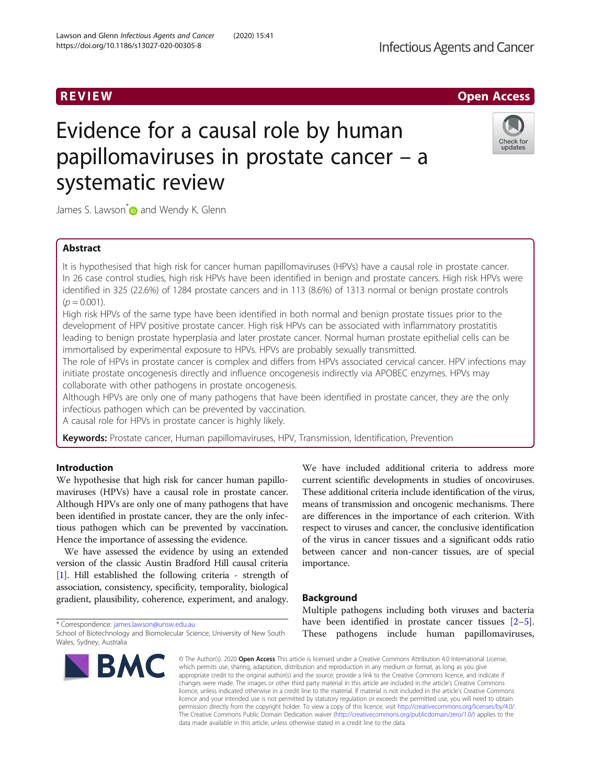# R EVI EW Open Access

# Evidence for a causal role by human papillomaviruses in prostate cancer – a systematic review



James S. Lawson<sup>\*</sup> and Wendy K. Glenn

# Abstract

It is hypothesised that high risk for cancer human papillomaviruses (HPVs) have a causal role in prostate cancer. In 26 case control studies, high risk HPVs have been identified in benign and prostate cancers. High risk HPVs were identified in 325 (22.6%) of 1284 prostate cancers and in 113 (8.6%) of 1313 normal or benign prostate controls  $(p = 0.001)$ .

High risk HPVs of the same type have been identified in both normal and benign prostate tissues prior to the development of HPV positive prostate cancer. High risk HPVs can be associated with inflammatory prostatitis leading to benign prostate hyperplasia and later prostate cancer. Normal human prostate epithelial cells can be immortalised by experimental exposure to HPVs. HPVs are probably sexually transmitted.

The role of HPVs in prostate cancer is complex and differs from HPVs associated cervical cancer. HPV infections may initiate prostate oncogenesis directly and influence oncogenesis indirectly via APOBEC enzymes. HPVs may collaborate with other pathogens in prostate oncogenesis.

Although HPVs are only one of many pathogens that have been identified in prostate cancer, they are the only infectious pathogen which can be prevented by vaccination.

A causal role for HPVs in prostate cancer is highly likely.

Keywords: Prostate cancer, Human papillomaviruses, HPV, Transmission, Identification, Prevention

# Introduction

We hypothesise that high risk for cancer human papillomaviruses (HPVs) have a causal role in prostate cancer. Although HPVs are only one of many pathogens that have been identified in prostate cancer, they are the only infectious pathogen which can be prevented by vaccination. Hence the importance of assessing the evidence.

We have assessed the evidence by using an extended version of the classic Austin Bradford Hill causal criteria [[1\]](#page-8-0). Hill established the following criteria - strength of association, consistency, specificity, temporality, biological gradient, plausibility, coherence, experiment, and analogy.

We have included additional criteria to address more current scientific developments in studies of oncoviruses. These additional criteria include identification of the virus, means of transmission and oncogenic mechanisms. There are differences in the importance of each criterion. With respect to viruses and cancer, the conclusive identification of the virus in cancer tissues and a significant odds ratio between cancer and non-cancer tissues, are of special importance.

# Background

\* Correspondence: [james.lawson@unsw.edu.au](mailto:james.lawson@unsw.edu.au)

School of Biotechnology and Biomolecular Science, University of New South Wales, Sydney, Australia



Multiple pathogens including both viruses and bacteria have been identified in prostate cancer tissues [\[2](#page-8-0)–[5](#page-8-0)]. These pathogens include human papillomaviruses,

© The Author(s), 2020 **Open Access** This article is licensed under a Creative Commons Attribution 4.0 International License, which permits use, sharing, adaptation, distribution and reproduction in any medium or format, as long as you give appropriate credit to the original author(s) and the source, provide a link to the Creative Commons licence, and indicate if changes were made. The images or other third party material in this article are included in the article's Creative Commons licence, unless indicated otherwise in a credit line to the material. If material is not included in the article's Creative Commons licence and your intended use is not permitted by statutory regulation or exceeds the permitted use, you will need to obtain permission directly from the copyright holder. To view a copy of this licence, visit [http://creativecommons.org/licenses/by/4.0/.](http://creativecommons.org/licenses/by/4.0/) The Creative Commons Public Domain Dedication waiver [\(http://creativecommons.org/publicdomain/zero/1.0/](http://creativecommons.org/publicdomain/zero/1.0/)) applies to the data made available in this article, unless otherwise stated in a credit line to the data.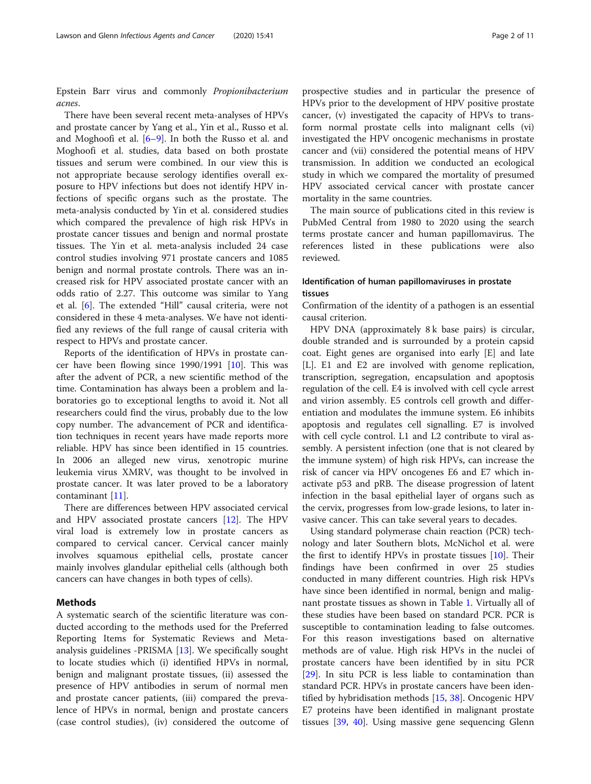Epstein Barr virus and commonly Propionibacterium acnes.

There have been several recent meta-analyses of HPVs and prostate cancer by Yang et al., Yin et al., Russo et al. and Moghoofi et al. [[6](#page-8-0)–[9](#page-8-0)]. In both the Russo et al. and Moghoofi et al. studies, data based on both prostate tissues and serum were combined. In our view this is not appropriate because serology identifies overall exposure to HPV infections but does not identify HPV infections of specific organs such as the prostate. The meta-analysis conducted by Yin et al. considered studies which compared the prevalence of high risk HPVs in prostate cancer tissues and benign and normal prostate tissues. The Yin et al. meta-analysis included 24 case control studies involving 971 prostate cancers and 1085 benign and normal prostate controls. There was an increased risk for HPV associated prostate cancer with an odds ratio of 2.27. This outcome was similar to Yang et al. [\[6](#page-8-0)]. The extended "Hill" causal criteria, were not considered in these 4 meta-analyses. We have not identified any reviews of the full range of causal criteria with respect to HPVs and prostate cancer.

Reports of the identification of HPVs in prostate cancer have been flowing since  $1990/1991$  [[10](#page-8-0)]. This was after the advent of PCR, a new scientific method of the time. Contamination has always been a problem and laboratories go to exceptional lengths to avoid it. Not all researchers could find the virus, probably due to the low copy number. The advancement of PCR and identification techniques in recent years have made reports more reliable. HPV has since been identified in 15 countries. In 2006 an alleged new virus, xenotropic murine leukemia virus XMRV, was thought to be involved in prostate cancer. It was later proved to be a laboratory contaminant [\[11](#page-8-0)].

There are differences between HPV associated cervical and HPV associated prostate cancers [[12\]](#page-8-0). The HPV viral load is extremely low in prostate cancers as compared to cervical cancer. Cervical cancer mainly involves squamous epithelial cells, prostate cancer mainly involves glandular epithelial cells (although both cancers can have changes in both types of cells).

# **Methods**

A systematic search of the scientific literature was conducted according to the methods used for the Preferred Reporting Items for Systematic Reviews and Metaanalysis guidelines -PRISMA [[13](#page-8-0)]. We specifically sought to locate studies which (i) identified HPVs in normal, benign and malignant prostate tissues, (ii) assessed the presence of HPV antibodies in serum of normal men and prostate cancer patients, (iii) compared the prevalence of HPVs in normal, benign and prostate cancers (case control studies), (iv) considered the outcome of prospective studies and in particular the presence of HPVs prior to the development of HPV positive prostate cancer, (v) investigated the capacity of HPVs to transform normal prostate cells into malignant cells (vi) investigated the HPV oncogenic mechanisms in prostate cancer and (vii) considered the potential means of HPV transmission. In addition we conducted an ecological study in which we compared the mortality of presumed HPV associated cervical cancer with prostate cancer mortality in the same countries.

The main source of publications cited in this review is PubMed Central from 1980 to 2020 using the search terms prostate cancer and human papillomavirus. The references listed in these publications were also reviewed.

# Identification of human papillomaviruses in prostate tissues

Confirmation of the identity of a pathogen is an essential causal criterion.

HPV DNA (approximately 8 k base pairs) is circular, double stranded and is surrounded by a protein capsid coat. Eight genes are organised into early [E] and late [L]. E1 and E2 are involved with genome replication, transcription, segregation, encapsulation and apoptosis regulation of the cell. E4 is involved with cell cycle arrest and virion assembly. E5 controls cell growth and differentiation and modulates the immune system. E6 inhibits apoptosis and regulates cell signalling. E7 is involved with cell cycle control. L1 and L2 contribute to viral assembly. A persistent infection (one that is not cleared by the immune system) of high risk HPVs, can increase the risk of cancer via HPV oncogenes E6 and E7 which inactivate p53 and pRB. The disease progression of latent infection in the basal epithelial layer of organs such as the cervix, progresses from low-grade lesions, to later invasive cancer. This can take several years to decades.

Using standard polymerase chain reaction (PCR) technology and later Southern blots, McNichol et al. were the first to identify HPVs in prostate tissues [\[10](#page-8-0)]. Their findings have been confirmed in over 25 studies conducted in many different countries. High risk HPVs have since been identified in normal, benign and malignant prostate tissues as shown in Table [1.](#page-2-0) Virtually all of these studies have been based on standard PCR. PCR is susceptible to contamination leading to false outcomes. For this reason investigations based on alternative methods are of value. High risk HPVs in the nuclei of prostate cancers have been identified by in situ PCR [[29\]](#page-8-0). In situ PCR is less liable to contamination than standard PCR. HPVs in prostate cancers have been identified by hybridisation methods [[15](#page-8-0), [38](#page-9-0)]. Oncogenic HPV E7 proteins have been identified in malignant prostate tissues [\[39](#page-9-0), [40\]](#page-9-0). Using massive gene sequencing Glenn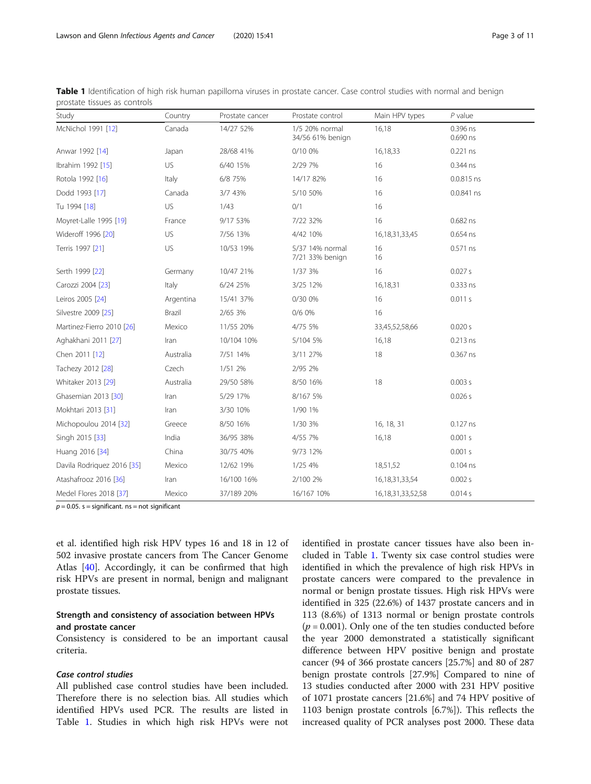| בוסאומנכי נואשפט על כסווכוסוא |           |                 |                                    |                        |                        |
|-------------------------------|-----------|-----------------|------------------------------------|------------------------|------------------------|
| Study                         | Country   | Prostate cancer | Prostate control                   | Main HPV types         | $P$ value              |
| McNichol 1991 [12]            | Canada    | 14/27 52%       | 1/5 20% normal<br>34/56 61% benign | 16,18                  | 0.396 ns<br>$0.690$ ns |
| Anwar 1992 [14]               | Japan     | 28/68 41%       | 0/10 0%                            | 16,18,33               | 0.221 ns               |
| Ibrahim 1992 [15]             | US        | 6/40 15%        | 2/29 7%                            | 16                     | 0.344 ns               |
| Rotola 1992 [16]              | Italy     | 6/8 75%         | 14/17 82%                          | 16                     | $0.0.815$ ns           |
| Dodd 1993 [17]                | Canada    | 3/7 43%         | 5/10 50%                           | 16                     | 0.0.841 ns             |
| Tu 1994 [18]                  | US        | 1/43            | 0/1                                | 16                     |                        |
| Moyret-Lalle 1995 [19]        | France    | 9/17 53%        | 7/22 32%                           | 16                     | 0.682 ns               |
| Wideroff 1996 [20]            | US        | 7/56 13%        | 4/42 10%                           | 16, 18, 31, 33, 45     | 0.654 ns               |
| Terris 1997 [21]              | US        | 10/53 19%       | 5/37 14% normal<br>7/21 33% benign | 16<br>16               | $0.571$ ns             |
| Serth 1999 [22]               | Germany   | 10/47 21%       | 1/37 3%                            | 16                     | 0.027s                 |
| Carozzi 2004 [23]             | Italy     | 6/24 25%        | 3/25 12%                           | 16,18,31               | 0.333 ns               |
| Leiros 2005 [24]              | Argentina | 15/41 37%       | 0/30 0%                            | 16                     | 0.011 s                |
| Silvestre 2009 [25]           | Brazil    | 2/65 3%         | 0/6 0%                             | 16                     |                        |
| Martinez-Fierro 2010 [26]     | Mexico    | 11/55 20%       | 4/75 5%                            | 33,45,52,58,66         | 0.020 s                |
| Aghakhani 2011 [27]           | Iran      | 10/104 10%      | 5/104 5%                           | 16,18                  | $0.213$ ns             |
| Chen 2011 [12]                | Australia | 7/51 14%        | 3/11 27%                           | 18                     | 0.367 ns               |
| Tachezy 2012 [28]             | Czech     | 1/51 2%         | 2/95 2%                            |                        |                        |
| Whitaker 2013 [29]            | Australia | 29/50 58%       | 8/50 16%                           | 18                     | 0.003 s                |
| Ghasemian 2013 [30]           | Iran      | 5/29 17%        | 8/167 5%                           |                        | 0.026 s                |
| Mokhtari 2013 [31]            | Iran      | 3/30 10%        | 1/90 1%                            |                        |                        |
| Michopoulou 2014 [32]         | Greece    | 8/50 16%        | 1/30 3%                            | 16, 18, 31             | $0.127$ ns             |
| Singh 2015 [33]               | India     | 36/95 38%       | 4/55 7%                            | 16,18                  | 0.001 s                |
| Huang 2016 [34]               | China     | 30/75 40%       | 9/73 12%                           |                        | 0.001 s                |
| Davila Rodriguez 2016 [35]    | Mexico    | 12/62 19%       | 1/25 4%                            | 18,51,52               | $0.104$ ns             |
| Atashafrooz 2016 [36]         | Iran      | 16/100 16%      | 2/100 2%                           | 16, 18, 31, 33, 54     | 0.002 s                |
| Medel Flores 2018 [37]        | Mexico    | 37/189 20%      | 16/167 10%                         | 16, 18, 31, 33, 52, 58 | 0.014 s                |

<span id="page-2-0"></span>Table 1 Identification of high risk human papilloma viruses in prostate cancer. Case control studies with normal and benign prostate tissues as controls

 $p = 0.05$ . s = significant. ns = not significant

et al. identified high risk HPV types 16 and 18 in 12 of 502 invasive prostate cancers from The Cancer Genome Atlas [\[40](#page-9-0)]. Accordingly, it can be confirmed that high risk HPVs are present in normal, benign and malignant prostate tissues.

# Strength and consistency of association between HPVs and prostate cancer

Consistency is considered to be an important causal criteria.

# Case control studies

All published case control studies have been included. Therefore there is no selection bias. All studies which identified HPVs used PCR. The results are listed in Table 1. Studies in which high risk HPVs were not identified in prostate cancer tissues have also been included in Table 1. Twenty six case control studies were identified in which the prevalence of high risk HPVs in prostate cancers were compared to the prevalence in normal or benign prostate tissues. High risk HPVs were identified in 325 (22.6%) of 1437 prostate cancers and in 113 (8.6%) of 1313 normal or benign prostate controls  $(p = 0.001)$ . Only one of the ten studies conducted before the year 2000 demonstrated a statistically significant difference between HPV positive benign and prostate cancer (94 of 366 prostate cancers [25.7%] and 80 of 287 benign prostate controls [27.9%] Compared to nine of 13 studies conducted after 2000 with 231 HPV positive of 1071 prostate cancers [21.6%] and 74 HPV positive of 1103 benign prostate controls [6.7%]). This reflects the increased quality of PCR analyses post 2000. These data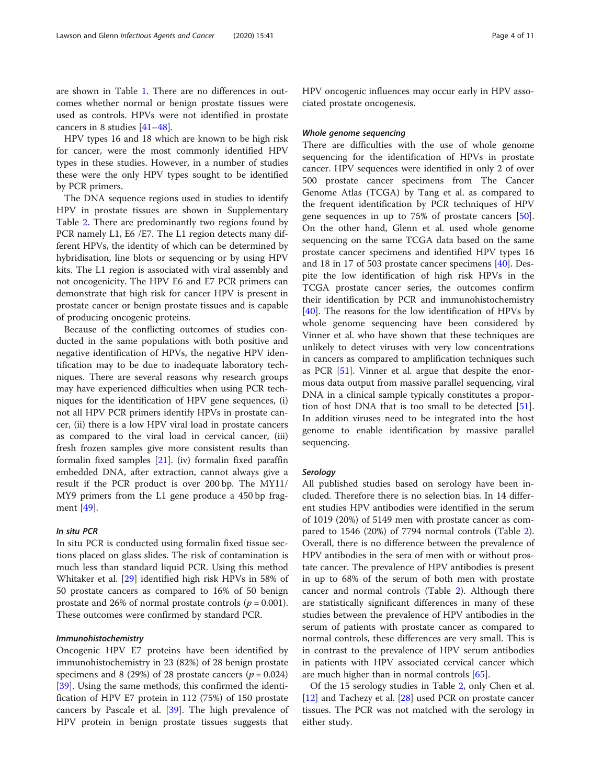HPV types 16 and 18 which are known to be high risk for cancer, were the most commonly identified HPV types in these studies. However, in a number of studies these were the only HPV types sought to be identified by PCR primers.

The DNA sequence regions used in studies to identify HPV in prostate tissues are shown in Supplementary Table [2](#page-7-0). There are predominantly two regions found by PCR namely L1, E6 / E7. The L1 region detects many different HPVs, the identity of which can be determined by hybridisation, line blots or sequencing or by using HPV kits. The L1 region is associated with viral assembly and not oncogenicity. The HPV E6 and E7 PCR primers can demonstrate that high risk for cancer HPV is present in prostate cancer or benign prostate tissues and is capable of producing oncogenic proteins.

Because of the conflicting outcomes of studies conducted in the same populations with both positive and negative identification of HPVs, the negative HPV identification may to be due to inadequate laboratory techniques. There are several reasons why research groups may have experienced difficulties when using PCR techniques for the identification of HPV gene sequences, (i) not all HPV PCR primers identify HPVs in prostate cancer, (ii) there is a low HPV viral load in prostate cancers as compared to the viral load in cervical cancer, (iii) fresh frozen samples give more consistent results than formalin fixed samples [\[21](#page-8-0)]. (iv) formalin fixed paraffin embedded DNA, after extraction, cannot always give a result if the PCR product is over 200 bp. The MY11/ MY9 primers from the L1 gene produce a 450 bp fragment [[49\]](#page-9-0).

# In situ PCR

In situ PCR is conducted using formalin fixed tissue sections placed on glass slides. The risk of contamination is much less than standard liquid PCR. Using this method Whitaker et al. [\[29](#page-8-0)] identified high risk HPVs in 58% of 50 prostate cancers as compared to 16% of 50 benign prostate and 26% of normal prostate controls ( $p = 0.001$ ). These outcomes were confirmed by standard PCR.

# Immunohistochemistry

Oncogenic HPV E7 proteins have been identified by immunohistochemistry in 23 (82%) of 28 benign prostate specimens and 8 (29%) of 28 prostate cancers ( $p = 0.024$ ) [[39\]](#page-9-0). Using the same methods, this confirmed the identification of HPV E7 protein in 112 (75%) of 150 prostate cancers by Pascale et al. [\[39](#page-9-0)]. The high prevalence of HPV protein in benign prostate tissues suggests that HPV oncogenic influences may occur early in HPV associated prostate oncogenesis.

#### Whole genome sequencing

There are difficulties with the use of whole genome sequencing for the identification of HPVs in prostate cancer. HPV sequences were identified in only 2 of over 500 prostate cancer specimens from The Cancer Genome Atlas (TCGA) by Tang et al. as compared to the frequent identification by PCR techniques of HPV gene sequences in up to 75% of prostate cancers [\[50](#page-9-0)]. On the other hand, Glenn et al. used whole genome sequencing on the same TCGA data based on the same prostate cancer specimens and identified HPV types 16 and 18 in 17 of 503 prostate cancer specimens [[40](#page-9-0)]. Despite the low identification of high risk HPVs in the TCGA prostate cancer series, the outcomes confirm their identification by PCR and immunohistochemistry [[40\]](#page-9-0). The reasons for the low identification of HPVs by whole genome sequencing have been considered by Vinner et al. who have shown that these techniques are unlikely to detect viruses with very low concentrations in cancers as compared to amplification techniques such as PCR [[51](#page-9-0)]. Vinner et al. argue that despite the enormous data output from massive parallel sequencing, viral DNA in a clinical sample typically constitutes a proportion of host DNA that is too small to be detected [\[51](#page-9-0)]. In addition viruses need to be integrated into the host genome to enable identification by massive parallel sequencing.

# Serology

All published studies based on serology have been included. Therefore there is no selection bias. In 14 different studies HPV antibodies were identified in the serum of 1019 (20%) of 5149 men with prostate cancer as compared to 1546 (20%) of 7794 normal controls (Table [2](#page-4-0)). Overall, there is no difference between the prevalence of HPV antibodies in the sera of men with or without prostate cancer. The prevalence of HPV antibodies is present in up to 68% of the serum of both men with prostate cancer and normal controls (Table [2](#page-4-0)). Although there are statistically significant differences in many of these studies between the prevalence of HPV antibodies in the serum of patients with prostate cancer as compared to normal controls, these differences are very small. This is in contrast to the prevalence of HPV serum antibodies in patients with HPV associated cervical cancer which are much higher than in normal controls [[65\]](#page-9-0).

Of the 15 serology studies in Table [2](#page-4-0), only Chen et al. [[12\]](#page-8-0) and Tachezy et al. [\[28\]](#page-8-0) used PCR on prostate cancer tissues. The PCR was not matched with the serology in either study.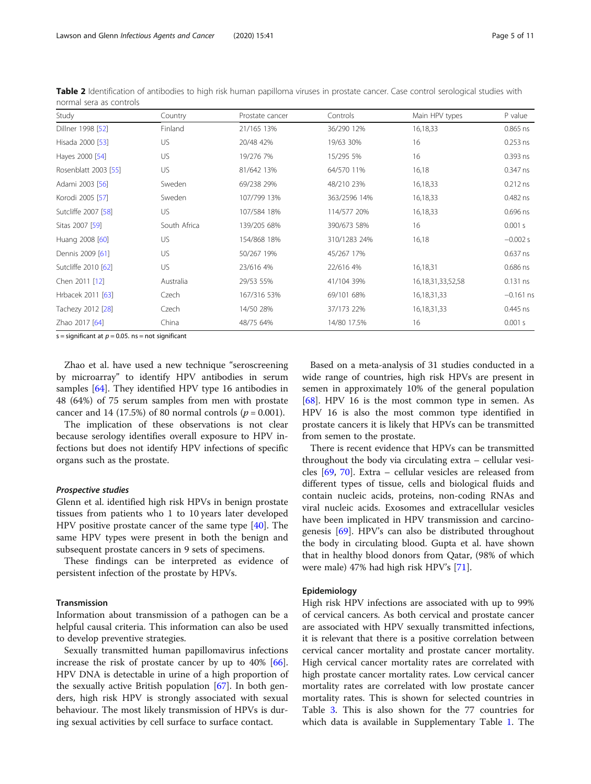<span id="page-4-0"></span>Table 2 Identification of antibodies to high risk human papilloma viruses in prostate cancer. Case control serological studies with normal sera as controls

| Study                | Country      | Prostate cancer | Controls     | Main HPV types         | P value     |
|----------------------|--------------|-----------------|--------------|------------------------|-------------|
| Dillner 1998 [52]    | Finland      | 21/165 13%      | 36/290 12%   | 16,18,33               | $0.865$ ns  |
| Hisada 2000 [53]     | US           | 20/48 42%       | 19/63 30%    | 16                     | $0.253$ ns  |
| Hayes 2000 [54]      | US           | 19/276 7%       | 15/295 5%    | 16                     | 0.393 ns    |
| Rosenblatt 2003 [55] | US           | 81/642 13%      | 64/570 11%   | 16,18                  | 0.347 ns    |
| Adami 2003 [56]      | Sweden       | 69/238 29%      | 48/210 23%   | 16,18,33               | $0.212$ ns  |
| Korodi 2005 [57]     | Sweden       | 107/799 13%     | 363/2596 14% | 16,18,33               | 0.482 ns    |
| Sutcliffe 2007 [58]  | US.          | 107/584 18%     | 114/577 20%  | 16,18,33               | $0.696$ ns  |
| Sitas 2007 [59]      | South Africa | 139/205 68%     | 390/673 58%  | 16                     | 0.001 s     |
| Huang 2008 [60]      | US           | 154/868 18%     | 310/1283 24% | 16,18                  | $-0.002 s$  |
| Dennis 2009 [61]     | US           | 50/267 19%      | 45/267 17%   |                        | $0.637$ ns  |
| Sutcliffe 2010 [62]  | US           | 23/616 4%       | 22/616 4%    | 16,18,31               | $0.686$ ns  |
| Chen 2011 [12]       | Australia    | 29/53 55%       | 41/104 39%   | 16, 18, 31, 33, 52, 58 | $0.131$ ns  |
| Hrbacek 2011 [63]    | Czech        | 167/316 53%     | 69/101 68%   | 16, 18, 31, 33         | $-0.161$ ns |
| Tachezy 2012 [28]    | Czech        | 14/50 28%       | 37/173 22%   | 16, 18, 31, 33         | $0.445$ ns  |
| Zhao 2017 [64]       | China        | 48/75 64%       | 14/80 17.5%  | 16                     | 0.001 s     |

s = significant at  $p = 0.05$ . ns = not significant

Zhao et al. have used a new technique "seroscreening by microarray" to identify HPV antibodies in serum samples [[64](#page-9-0)]. They identified HPV type 16 antibodies in 48 (64%) of 75 serum samples from men with prostate cancer and 14 (17.5%) of 80 normal controls ( $p = 0.001$ ).

The implication of these observations is not clear because serology identifies overall exposure to HPV infections but does not identify HPV infections of specific organs such as the prostate.

#### Prospective studies

Glenn et al. identified high risk HPVs in benign prostate tissues from patients who 1 to 10 years later developed HPV positive prostate cancer of the same type [[40\]](#page-9-0). The same HPV types were present in both the benign and subsequent prostate cancers in 9 sets of specimens.

These findings can be interpreted as evidence of persistent infection of the prostate by HPVs.

#### Transmission

Information about transmission of a pathogen can be a helpful causal criteria. This information can also be used to develop preventive strategies.

Sexually transmitted human papillomavirus infections increase the risk of prostate cancer by up to 40% [\[66](#page-9-0)]. HPV DNA is detectable in urine of a high proportion of the sexually active British population [\[67](#page-9-0)]. In both genders, high risk HPV is strongly associated with sexual behaviour. The most likely transmission of HPVs is during sexual activities by cell surface to surface contact.

Based on a meta-analysis of 31 studies conducted in a wide range of countries, high risk HPVs are present in semen in approximately 10% of the general population [[68\]](#page-9-0). HPV 16 is the most common type in semen. As HPV 16 is also the most common type identified in prostate cancers it is likely that HPVs can be transmitted from semen to the prostate.

There is recent evidence that HPVs can be transmitted throughout the body via circulating extra – cellular vesicles [[69,](#page-9-0) [70\]](#page-9-0). Extra – cellular vesicles are released from different types of tissue, cells and biological fluids and contain nucleic acids, proteins, non-coding RNAs and viral nucleic acids. Exosomes and extracellular vesicles have been implicated in HPV transmission and carcinogenesis [\[69](#page-9-0)]. HPV's can also be distributed throughout the body in circulating blood. Gupta et al. have shown that in healthy blood donors from Qatar, (98% of which were male) 47% had high risk HPV's [[71](#page-9-0)].

#### Epidemiology

High risk HPV infections are associated with up to 99% of cervical cancers. As both cervical and prostate cancer are associated with HPV sexually transmitted infections, it is relevant that there is a positive correlation between cervical cancer mortality and prostate cancer mortality. High cervical cancer mortality rates are correlated with high prostate cancer mortality rates. Low cervical cancer mortality rates are correlated with low prostate cancer mortality rates. This is shown for selected countries in Table [3.](#page-5-0) This is also shown for the 77 countries for which data is available in Supplementary Table [1.](#page-7-0) The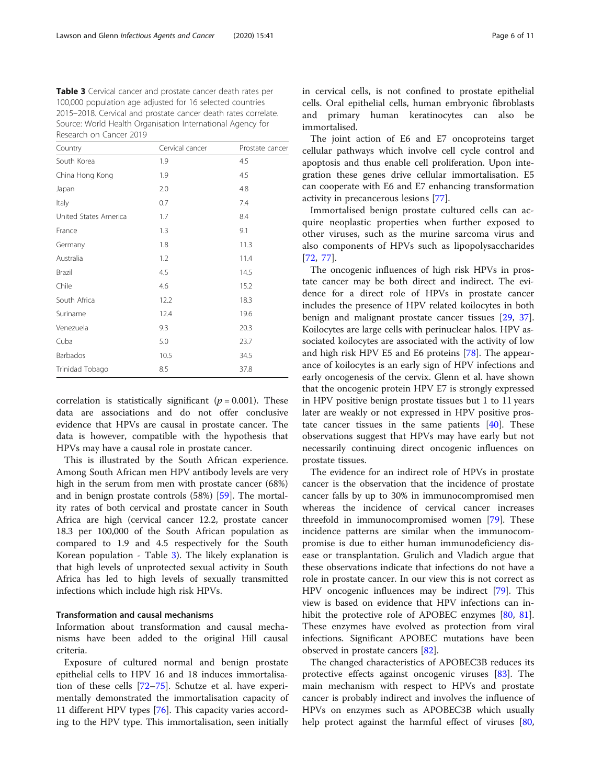<span id="page-5-0"></span>Table 3 Cervical cancer and prostate cancer death rates per 100,000 population age adjusted for 16 selected countries 2015–2018. Cervical and prostate cancer death rates correlate. Source: World Health Organisation International Agency for Research on Cancer 2019

| Country               | Cervical cancer | Prostate cancer |
|-----------------------|-----------------|-----------------|
| South Korea           | 1.9             | 4.5             |
| China Hong Kong       | 1.9             | 4.5             |
| Japan                 | 2.0             | 4.8             |
| Italy                 | 0.7             | 7.4             |
| United States America | 1.7             | 8.4             |
| France                | 1.3             | 9.1             |
| Germany               | 1.8             | 11.3            |
| Australia             | 1.2             | 11.4            |
| Brazil                | 4.5             | 14.5            |
| Chile                 | 4.6             | 15.2            |
| South Africa          | 12.2            | 18.3            |
| Suriname              | 12.4            | 19.6            |
| Venezuela             | 9.3             | 20.3            |
| Cuba                  | 5.0             | 23.7            |
| Barbados              | 10.5            | 34.5            |
| Trinidad Tobago       | 8.5             | 37.8            |

correlation is statistically significant ( $p = 0.001$ ). These data are associations and do not offer conclusive evidence that HPVs are causal in prostate cancer. The data is however, compatible with the hypothesis that HPVs may have a causal role in prostate cancer.

This is illustrated by the South African experience. Among South African men HPV antibody levels are very high in the serum from men with prostate cancer (68%) and in benign prostate controls (58%) [\[59](#page-9-0)]. The mortality rates of both cervical and prostate cancer in South Africa are high (cervical cancer 12.2, prostate cancer 18.3 per 100,000 of the South African population as compared to 1.9 and 4.5 respectively for the South Korean population - Table 3). The likely explanation is that high levels of unprotected sexual activity in South Africa has led to high levels of sexually transmitted infections which include high risk HPVs.

#### Transformation and causal mechanisms

Information about transformation and causal mechanisms have been added to the original Hill causal criteria.

Exposure of cultured normal and benign prostate epithelial cells to HPV 16 and 18 induces immortalisation of these cells [\[72](#page-9-0)–[75\]](#page-9-0). Schutze et al. have experimentally demonstrated the immortalisation capacity of 11 different HPV types [[76](#page-9-0)]. This capacity varies according to the HPV type. This immortalisation, seen initially in cervical cells, is not confined to prostate epithelial cells. Oral epithelial cells, human embryonic fibroblasts and primary human keratinocytes can also be immortalised.

The joint action of E6 and E7 oncoproteins target cellular pathways which involve cell cycle control and apoptosis and thus enable cell proliferation. Upon integration these genes drive cellular immortalisation. E5 can cooperate with E6 and E7 enhancing transformation activity in precancerous lesions [[77](#page-10-0)].

Immortalised benign prostate cultured cells can acquire neoplastic properties when further exposed to other viruses, such as the murine sarcoma virus and also components of HPVs such as lipopolysaccharides [[72,](#page-9-0) [77](#page-10-0)].

The oncogenic influences of high risk HPVs in prostate cancer may be both direct and indirect. The evidence for a direct role of HPVs in prostate cancer includes the presence of HPV related koilocytes in both benign and malignant prostate cancer tissues [[29](#page-8-0), [37](#page-9-0)]. Koilocytes are large cells with perinuclear halos. HPV associated koilocytes are associated with the activity of low and high risk HPV E5 and E6 proteins [[78\]](#page-10-0). The appearance of koilocytes is an early sign of HPV infections and early oncogenesis of the cervix. Glenn et al. have shown that the oncogenic protein HPV E7 is strongly expressed in HPV positive benign prostate tissues but 1 to 11 years later are weakly or not expressed in HPV positive prostate cancer tissues in the same patients  $[40]$  $[40]$ . These observations suggest that HPVs may have early but not necessarily continuing direct oncogenic influences on prostate tissues.

The evidence for an indirect role of HPVs in prostate cancer is the observation that the incidence of prostate cancer falls by up to 30% in immunocompromised men whereas the incidence of cervical cancer increases threefold in immunocompromised women [[79\]](#page-10-0). These incidence patterns are similar when the immunocompromise is due to either human immunodeficiency disease or transplantation. Grulich and Vladich argue that these observations indicate that infections do not have a role in prostate cancer. In our view this is not correct as HPV oncogenic influences may be indirect [[79\]](#page-10-0). This view is based on evidence that HPV infections can inhibit the protective role of APOBEC enzymes [\[80,](#page-10-0) [81](#page-10-0)]. These enzymes have evolved as protection from viral infections. Significant APOBEC mutations have been observed in prostate cancers [\[82](#page-10-0)].

The changed characteristics of APOBEC3B reduces its protective effects against oncogenic viruses [\[83](#page-10-0)]. The main mechanism with respect to HPVs and prostate cancer is probably indirect and involves the influence of HPVs on enzymes such as APOBEC3B which usually help protect against the harmful effect of viruses [[80](#page-10-0),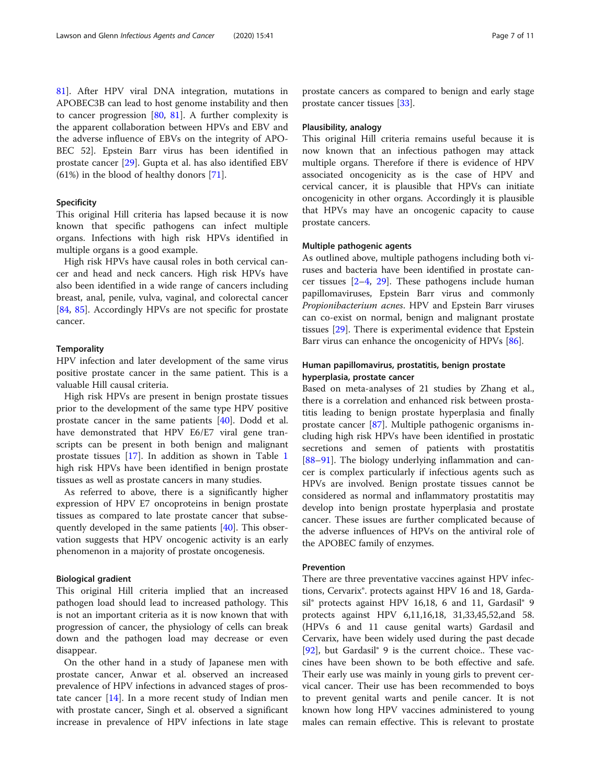[81\]](#page-10-0). After HPV viral DNA integration, mutations in APOBEC3B can lead to host genome instability and then to cancer progression [\[80](#page-10-0), [81](#page-10-0)]. A further complexity is the apparent collaboration between HPVs and EBV and the adverse influence of EBVs on the integrity of APO-BEC 52]. Epstein Barr virus has been identified in prostate cancer [[29\]](#page-8-0). Gupta et al. has also identified EBV (61%) in the blood of healthy donors [\[71](#page-9-0)].

#### Specificity

This original Hill criteria has lapsed because it is now known that specific pathogens can infect multiple organs. Infections with high risk HPVs identified in multiple organs is a good example.

High risk HPVs have causal roles in both cervical cancer and head and neck cancers. High risk HPVs have also been identified in a wide range of cancers including breast, anal, penile, vulva, vaginal, and colorectal cancer [[84,](#page-10-0) [85](#page-10-0)]. Accordingly HPVs are not specific for prostate cancer.

#### **Temporality**

HPV infection and later development of the same virus positive prostate cancer in the same patient. This is a valuable Hill causal criteria.

High risk HPVs are present in benign prostate tissues prior to the development of the same type HPV positive prostate cancer in the same patients [[40\]](#page-9-0). Dodd et al. have demonstrated that HPV E6/E7 viral gene transcripts can be present in both benign and malignant prostate tissues [\[17\]](#page-8-0). In addition as shown in Table [1](#page-2-0) high risk HPVs have been identified in benign prostate tissues as well as prostate cancers in many studies.

As referred to above, there is a significantly higher expression of HPV E7 oncoproteins in benign prostate tissues as compared to late prostate cancer that subsequently developed in the same patients [[40\]](#page-9-0). This observation suggests that HPV oncogenic activity is an early phenomenon in a majority of prostate oncogenesis.

#### Biological gradient

This original Hill criteria implied that an increased pathogen load should lead to increased pathology. This is not an important criteria as it is now known that with progression of cancer, the physiology of cells can break down and the pathogen load may decrease or even disappear.

On the other hand in a study of Japanese men with prostate cancer, Anwar et al. observed an increased prevalence of HPV infections in advanced stages of prostate cancer  $[14]$  $[14]$  $[14]$ . In a more recent study of Indian men with prostate cancer, Singh et al. observed a significant increase in prevalence of HPV infections in late stage

prostate cancers as compared to benign and early stage prostate cancer tissues [\[33\]](#page-9-0).

#### Plausibility, analogy

This original Hill criteria remains useful because it is now known that an infectious pathogen may attack multiple organs. Therefore if there is evidence of HPV associated oncogenicity as is the case of HPV and cervical cancer, it is plausible that HPVs can initiate oncogenicity in other organs. Accordingly it is plausible that HPVs may have an oncogenic capacity to cause prostate cancers.

# Multiple pathogenic agents

As outlined above, multiple pathogens including both viruses and bacteria have been identified in prostate cancer tissues  $[2-4, 29]$  $[2-4, 29]$  $[2-4, 29]$  $[2-4, 29]$  $[2-4, 29]$  $[2-4, 29]$  $[2-4, 29]$ . These pathogens include human papillomaviruses, Epstein Barr virus and commonly Propionibacterium acnes. HPV and Epstein Barr viruses can co-exist on normal, benign and malignant prostate tissues [\[29\]](#page-8-0). There is experimental evidence that Epstein Barr virus can enhance the oncogenicity of HPVs [[86\]](#page-10-0).

# Human papillomavirus, prostatitis, benign prostate hyperplasia, prostate cancer

Based on meta-analyses of 21 studies by Zhang et al., there is a correlation and enhanced risk between prostatitis leading to benign prostate hyperplasia and finally prostate cancer [\[87](#page-10-0)]. Multiple pathogenic organisms including high risk HPVs have been identified in prostatic secretions and semen of patients with prostatitis [[88](#page-10-0)–[91](#page-10-0)]. The biology underlying inflammation and cancer is complex particularly if infectious agents such as HPVs are involved. Benign prostate tissues cannot be considered as normal and inflammatory prostatitis may develop into benign prostate hyperplasia and prostate cancer. These issues are further complicated because of the adverse influences of HPVs on the antiviral role of the APOBEC family of enzymes.

# Prevention

There are three preventative vaccines against HPV infections, Cervarix®. protects against HPV 16 and 18, Gardasil® protects against HPV 16,18, 6 and 11, Gardasil® 9 protects against HPV 6,11,16,18, 31,33,45,52,and 58. (HPVs 6 and 11 cause genital warts) Gardasil and Cervarix, have been widely used during the past decade [[92\]](#page-10-0), but Gardasil<sup>®</sup> 9 is the current choice.. These vaccines have been shown to be both effective and safe. Their early use was mainly in young girls to prevent cervical cancer. Their use has been recommended to boys to prevent genital warts and penile cancer. It is not known how long HPV vaccines administered to young males can remain effective. This is relevant to prostate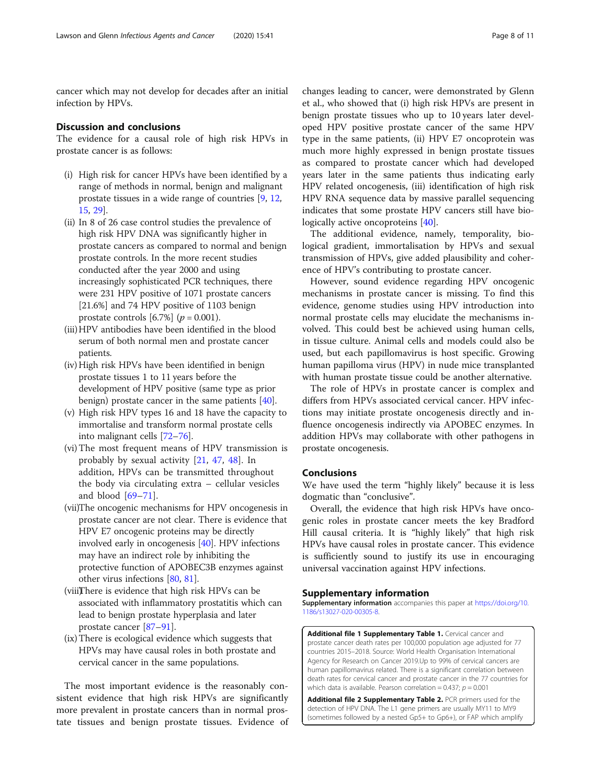<span id="page-7-0"></span>cancer which may not develop for decades after an initial infection by HPVs.

# Discussion and conclusions

The evidence for a causal role of high risk HPVs in prostate cancer is as follows:

- (i) High risk for cancer HPVs have been identified by a range of methods in normal, benign and malignant prostate tissues in a wide range of countries [[9](#page-8-0), [12](#page-8-0), [15,](#page-8-0) [29\]](#page-8-0).
- (ii) In 8 of 26 case control studies the prevalence of high risk HPV DNA was significantly higher in prostate cancers as compared to normal and benign prostate controls. In the more recent studies conducted after the year 2000 and using increasingly sophisticated PCR techniques, there were 231 HPV positive of 1071 prostate cancers [21.6%] and 74 HPV positive of 1103 benign prostate controls [6.7%] ( $p = 0.001$ ).
- (iii)HPV antibodies have been identified in the blood serum of both normal men and prostate cancer patients.
- (iv) High risk HPVs have been identified in benign prostate tissues 1 to 11 years before the development of HPV positive (same type as prior benign) prostate cancer in the same patients [\[40\]](#page-9-0).
- (v) High risk HPV types 16 and 18 have the capacity to immortalise and transform normal prostate cells into malignant cells [[72](#page-9-0)–[76\]](#page-9-0).
- (vi) The most frequent means of HPV transmission is probably by sexual activity [\[21](#page-8-0), [47,](#page-9-0) [48\]](#page-9-0). In addition, HPVs can be transmitted throughout the body via circulating extra – cellular vesicles and blood  $[69-71]$  $[69-71]$  $[69-71]$  $[69-71]$ .
- (vii)The oncogenic mechanisms for HPV oncogenesis in prostate cancer are not clear. There is evidence that HPV E7 oncogenic proteins may be directly involved early in oncogenesis [[40](#page-9-0)]. HPV infections may have an indirect role by inhibiting the protective function of APOBEC3B enzymes against other virus infections [\[80,](#page-10-0) [81](#page-10-0)].
- (viii)There is evidence that high risk HPVs can be associated with inflammatory prostatitis which can lead to benign prostate hyperplasia and later prostate cancer [\[87](#page-10-0)–[91](#page-10-0)].
- (ix)There is ecological evidence which suggests that HPVs may have causal roles in both prostate and cervical cancer in the same populations.

The most important evidence is the reasonably consistent evidence that high risk HPVs are significantly more prevalent in prostate cancers than in normal prostate tissues and benign prostate tissues. Evidence of

changes leading to cancer, were demonstrated by Glenn et al., who showed that (i) high risk HPVs are present in benign prostate tissues who up to 10 years later developed HPV positive prostate cancer of the same HPV type in the same patients, (ii) HPV E7 oncoprotein was much more highly expressed in benign prostate tissues as compared to prostate cancer which had developed years later in the same patients thus indicating early HPV related oncogenesis, (iii) identification of high risk HPV RNA sequence data by massive parallel sequencing indicates that some prostate HPV cancers still have bio-logically active oncoproteins [[40\]](#page-9-0).

The additional evidence, namely, temporality, biological gradient, immortalisation by HPVs and sexual transmission of HPVs, give added plausibility and coherence of HPV's contributing to prostate cancer.

However, sound evidence regarding HPV oncogenic mechanisms in prostate cancer is missing. To find this evidence, genome studies using HPV introduction into normal prostate cells may elucidate the mechanisms involved. This could best be achieved using human cells, in tissue culture. Animal cells and models could also be used, but each papillomavirus is host specific. Growing human papilloma virus (HPV) in nude mice transplanted with human prostate tissue could be another alternative.

The role of HPVs in prostate cancer is complex and differs from HPVs associated cervical cancer. HPV infections may initiate prostate oncogenesis directly and influence oncogenesis indirectly via APOBEC enzymes. In addition HPVs may collaborate with other pathogens in prostate oncogenesis.

# Conclusions

We have used the term "highly likely" because it is less dogmatic than "conclusive".

Overall, the evidence that high risk HPVs have oncogenic roles in prostate cancer meets the key Bradford Hill causal criteria. It is "highly likely" that high risk HPVs have causal roles in prostate cancer. This evidence is sufficiently sound to justify its use in encouraging universal vaccination against HPV infections.

# Supplementary information

Supplementary information accompanies this paper at [https://doi.org/10.](https://doi.org/10.1186/s13027-020-00305-8) [1186/s13027-020-00305-8](https://doi.org/10.1186/s13027-020-00305-8).

Additional file 1 Supplementary Table 1. Cervical cancer and prostate cancer death rates per 100,000 population age adjusted for 77 countries 2015–2018. Source: World Health Organisation International Agency for Research on Cancer 2019.Up to 99% of cervical cancers are human papillomavirus related. There is a significant correlation between death rates for cervical cancer and prostate cancer in the 77 countries for which data is available. Pearson correlation =  $0.437$ ;  $p = 0.001$ 

Additional file 2 Supplementary Table 2. PCR primers used for the detection of HPV DNA. The L1 gene primers are usually MY11 to MY9 (sometimes followed by a nested Gp5+ to Gp6+), or FAP which amplify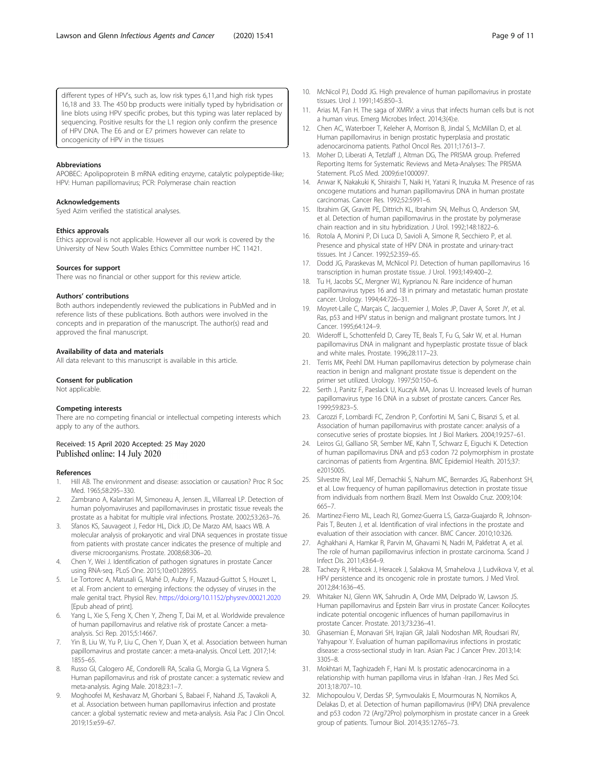<span id="page-8-0"></span>different types of HPV's, such as, low risk types 6,11,and high risk types 16,18 and 33. The 450 bp products were initially typed by hybridisation or line blots using HPV specific probes, but this typing was later replaced by sequencing. Positive results for the L1 region only confirm the presence of HPV DNA. The E6 and or E7 primers however can relate to oncogenicity of HPV in the tissues

#### Abbreviations

APOBEC: Apolipoprotein B mRNA editing enzyme, catalytic polypeptide-like; HPV: Human papillomavirus; PCR: Polymerase chain reaction

#### Acknowledgements

Syed Azim verified the statistical analyses.

#### Ethics approvals

Ethics approval is not applicable. However all our work is covered by the University of New South Wales Ethics Committee number HC 11421.

#### Sources for support

There was no financial or other support for this review article.

#### Authors' contributions

Both authors independently reviewed the publications in PubMed and in reference lists of these publications. Both authors were involved in the concepts and in preparation of the manuscript. The author(s) read and approved the final manuscript.

#### Availability of data and materials

All data relevant to this manuscript is available in this article.

#### Consent for publication

Not applicable.

#### Competing interests

There are no competing financial or intellectual competing interests which apply to any of the authors.

#### Received: 15 April 2020 Accepted: 25 May 2020 Published online: 14 July 2020

#### References

- 1. Hill AB. The environment and disease: association or causation? Proc R Soc Med. 1965;58:295–330.
- 2. Zambrano A, Kalantari M, Simoneau A, Jensen JL, Villarreal LP. Detection of human polyomaviruses and papillomaviruses in prostatic tissue reveals the prostate as a habitat for multiple viral infections. Prostate. 2002;53:263–76.
- 3. Sfanos KS, Sauvageot J, Fedor HL, Dick JD, De Marzo AM, Isaacs WB. A molecular analysis of prokaryotic and viral DNA sequences in prostate tissue from patients with prostate cancer indicates the presence of multiple and diverse microorganisms. Prostate. 2008;68:306–20.
- 4. Chen Y, Wei J. Identification of pathogen signatures in prostate Cancer using RNA-seq. PLoS One. 2015;10:e0128955.
- 5. Le Tortorec A, Matusali G, Mahé D, Aubry F, Mazaud-Guittot S, Houzet L, et al. From ancient to emerging infections: the odyssey of viruses in the male genital tract. Physiol Rev. <https://doi.org/10.1152/physrev.00021.2020> [Epub ahead of print].
- Yang L, Xie S, Feng X, Chen Y, Zheng T, Dai M, et al. Worldwide prevalence of human papillomavirus and relative risk of prostate Cancer: a metaanalysis. Sci Rep. 2015;5:14667.
- 7. Yin B, Liu W, Yu P, Liu C, Chen Y, Duan X, et al. Association between human papillomavirus and prostate cancer: a meta-analysis. Oncol Lett. 2017;14: 1855–65.
- 8. Russo GI, Calogero AE, Condorelli RA, Scalia G, Morgia G, La Vignera S. Human papillomavirus and risk of prostate cancer: a systematic review and meta-analysis. Aging Male. 2018;23:1–7.
- 9. Moghoofei M, Keshavarz M, Ghorbani S, Babaei F, Nahand JS, Tavakoli A, et al. Association between human papillomavirus infection and prostate cancer: a global systematic review and meta-analysis. Asia Pac J Clin Oncol. 2019;15:e59–67.
- 10. McNicol PJ, Dodd JG. High prevalence of human papillomavirus in prostate tissues. Urol J. 1991;145:850–3.
- 11. Arias M, Fan H. The saga of XMRV: a virus that infects human cells but is not a human virus. Emerg Microbes Infect. 2014;3(4):e.
- 12. Chen AC, Waterboer T, Keleher A, Morrison B, Jindal S, McMillan D, et al. Human papillomavirus in benign prostatic hyperplasia and prostatic adenocarcinoma patients. Pathol Oncol Res. 2011;17:613–7.
- 13. Moher D, Liberati A, Tetzlaff J, Altman DG, The PRISMA group. Preferred Reporting Items for Systematic Reviews and Meta-Analyses: The PRISMA Statement. PLoS Med. 2009;6:e1000097.
- 14. Anwar K, Nakakuki K, Shiraishi T, Naiki H, Yatani R, Inuzuka M. Presence of ras oncogene mutations and human papillomavirus DNA in human prostate carcinomas. Cancer Res. 1992;52:5991–6.
- 15. Ibrahim GK, Gravitt PE, Dittrich KL, Ibrahim SN, Melhus O, Anderson SM, et al. Detection of human papillomavirus in the prostate by polymerase chain reaction and in situ hybridization. J Urol. 1992;148:1822–6.
- 16. Rotola A, Monini P, Di Luca D, Savioli A, Simone R, Secchiero P, et al. Presence and physical state of HPV DNA in prostate and urinary-tract tissues. Int J Cancer. 1992;52:359–65.
- 17. Dodd JG, Paraskevas M, McNicol PJ. Detection of human papillomavirus 16 transcription in human prostate tissue. J Urol. 1993;149:400–2.
- 18. Tu H, Jacobs SC, Mergner WJ, Kyprianou N. Rare incidence of human papillomavirus types 16 and 18 in primary and metastatic human prostate cancer. Urology. 1994;44:726–31.
- 19. Moyret-Lalle C, Marçais C, Jacquemier J, Moles JP, Daver A, Soret JY, et al. Ras, p53 and HPV status in benign and malignant prostate tumors. Int J Cancer. 1995;64:124–9.
- 20. Wideroff L, Schottenfeld D, Carey TE, Beals T, Fu G, Sakr W, et al. Human papillomavirus DNA in malignant and hyperplastic prostate tissue of black and white males. Prostate. 1996;28:117–23.
- 21. Terris MK, Peehl DM. Human papillomavirus detection by polymerase chain reaction in benign and malignant prostate tissue is dependent on the primer set utilized. Urology. 1997;50:150–6.
- 22. Serth J, Panitz F, Paeslack U, Kuczyk MA, Jonas U. Increased levels of human papillomavirus type 16 DNA in a subset of prostate cancers. Cancer Res. 1999;59:823–5.
- 23. Carozzi F, Lombardi FC, Zendron P, Confortini M, Sani C, Bisanzi S, et al. Association of human papillomavirus with prostate cancer: analysis of a consecutive series of prostate biopsies. Int J Biol Markers. 2004;19:257–61.
- 24. Leiros GJ, Galliano SR, Sember ME, Kahn T, Schwarz E, Eiguchi K. Detection of human papillomavirus DNA and p53 codon 72 polymorphism in prostate carcinomas of patients from Argentina. BMC Epidemiol Health. 2015;37: e2015005.
- 25. Silvestre RV, Leal MF, Demachki S, Nahum MC, Bernardes JG, Rabenhorst SH, et al. Low frequency of human papillomavirus detection in prostate tissue from individuals from northern Brazil. Mem Inst Oswaldo Cruz. 2009;104: 665–7.
- 26. Martinez-Fierro ML, Leach RJ, Gomez-Guerra LS, Garza-Guajardo R, Johnson-Pais T, Beuten J, et al. Identification of viral infections in the prostate and evaluation of their association with cancer. BMC Cancer. 2010;10:326.
- 27. Aghakhani A, Hamkar R, Parvin M, Ghavami N, Nadri M, Pakfetrat A, et al. The role of human papillomavirus infection in prostate carcinoma. Scand J Infect Dis. 2011;43:64–9.
- 28. Tachezy R, Hrbacek J, Heracek J, Salakova M, Smahelova J, Ludvikova V, et al. HPV persistence and its oncogenic role in prostate tumors. J Med Virol. 2012;84:1636–45.
- 29. Whitaker NJ, Glenn WK, Sahrudin A, Orde MM, Delprado W, Lawson JS. Human papillomavirus and Epstein Barr virus in prostate Cancer: Koilocytes indicate potential oncogenic influences of human papillomavirus in prostate Cancer. Prostate. 2013;73:236–41.
- 30. Ghasemian E, Monavari SH, Irajian GR, Jalali Nodoshan MR, Roudsari RV, Yahyapour Y. Evaluation of human papillomavirus infections in prostatic disease: a cross-sectional study in Iran. Asian Pac J Cancer Prev. 2013;14: 3305–8.
- 31. Mokhtari M, Taghizadeh F, Hani M. Is prostatic adenocarcinoma in a relationship with human papilloma virus in Isfahan -Iran. J Res Med Sci. 2013;18:707–10.
- 32. Michopoulou V, Derdas SP, Symvoulakis E, Mourmouras N, Nomikos A, Delakas D, et al. Detection of human papillomavirus (HPV) DNA prevalence and p53 codon 72 (Arg72Pro) polymorphism in prostate cancer in a Greek group of patients. Tumour Biol. 2014;35:12765–73.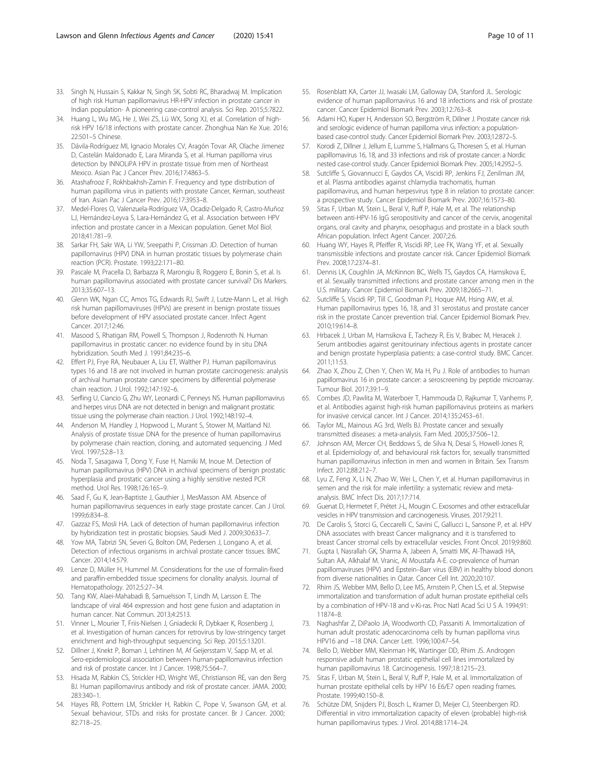- <span id="page-9-0"></span>33. Singh N, Hussain S, Kakkar N, Singh SK, Sobti RC, Bharadwaj M. Implication of high risk Human papillomavirus HR-HPV infection in prostate cancer in Indian population- A pioneering case-control analysis. Sci Rep. 2015;5:7822.
- 34. Huang L, Wu MG, He J, Wei ZS, Lü WX, Song XJ, et al. Correlation of highrisk HPV 16/18 infections with prostate cancer. Zhonghua Nan Ke Xue. 2016; 22:501–5 Chinese.
- 35. Dávila-Rodríguez MI, Ignacio Morales CV, Aragón Tovar AR, Olache Jimenez D, Castelán Maldonado E, Lara Miranda S, et al. Human papilloma virus detection by INNOLiPA HPV in prostate tissue from men of Northeast Mexico. Asian Pac J Cancer Prev. 2016;17:4863–5.
- 36. Atashafrooz F, Rokhbakhsh-Zamin F. Frequency and type distribution of human papilloma virus in patients with prostate Cancer, Kerman, southeast of Iran. Asian Pac J Cancer Prev. 2016;17:3953–8.
- 37. Medel-Flores O, Valenzuela-Rodríguez VA, Ocadiz-Delgado R, Castro-Muñoz LJ, Hernández-Leyva S, Lara-Hernández G, et al. Association between HPV infection and prostate cancer in a Mexican population. Genet Mol Biol. 2018;41:781–9.
- 38. Sarkar FH, Sakr WA, Li YW, Sreepathi P, Crissman JD. Detection of human papillomavirus (HPV) DNA in human prostatic tissues by polymerase chain reaction (PCR). Prostate. 1993;22:171–80.
- 39. Pascale M, Pracella D, Barbazza R, Marongiu B, Roggero E, Bonin S, et al. Is human papillomavirus associated with prostate cancer survival? Dis Markers. 2013;35:607–13.
- 40. Glenn WK, Ngan CC, Amos TG, Edwards RJ, Swift J, Lutze-Mann L, et al. High risk human papillomaviruses (HPVs) are present in benign prostate tissues before development of HPV associated prostate cancer. Infect Agent Cancer. 2017;12:46.
- 41. Masood S, Rhatigan RM, Powell S, Thompson J, Rodenroth N. Human papillomavirus in prostatic cancer: no evidence found by in situ DNA hybridization. South Med J. 1991;84:235–6.
- 42. Effert PJ, Frye RA, Neubauer A, Liu ET, Walther PJ. Human papillomavirus types 16 and 18 are not involved in human prostate carcinogenesis: analysis of archival human prostate cancer specimens by differential polymerase chain reaction. J Urol. 1992;147:192–6.
- 43. Serfling U, Ciancio G, Zhu WY, Leonardi C, Penneys NS. Human papillomavirus and herpes virus DNA are not detected in benign and malignant prostatic tissue using the polymerase chain reaction. J Urol. 1992;148:192–4.
- 44. Anderson M, Handley J, Hopwood L, Murant S, Stower M, Maitland NJ. Analysis of prostate tissue DNA for the presence of human papillomavirus by polymerase chain reaction, cloning, and automated sequencing. J Med Virol. 1997;52:8–13.
- 45. Noda T, Sasagawa T, Dong Y, Fuse H, Namiki M, Inoue M. Detection of human papillomavirus (HPV) DNA in archival specimens of benign prostatic hyperplasia and prostatic cancer using a highly sensitive nested PCR method. Urol Res. 1998;126:165–9.
- 46. Saad F, Gu K, Jean-Baptiste J, Gauthier J, MesMasson AM. Absence of human papillomavirus sequences in early stage prostate cancer. Can J Urol. 1999;6:834–8.
- 47. Gazzaz FS, Mosli HA. Lack of detection of human papillomavirus infection by hybridization test in prostatic biopsies. Saudi Med J. 2009;30:633–7.
- 48. Yow MA, Tabrizi SN, Severi G, Bolton DM, Pedersen J, Longano A, et al. Detection of infectious organisms in archival prostate cancer tissues. BMC Cancer. 2014;14:579.
- 49. Lenze D, Müller H, Hummel M. Considerations for the use of formalin-fixed and paraffin-embedded tissue specimens for clonality analysis. Journal of Hematopathology. 2012;5:27–34.
- 50. Tang KW, Alaei-Mahabadi B, Samuelsson T, Lindh M, Larsson E. The landscape of viral 464 expression and host gene fusion and adaptation in human cancer. Nat Commun. 2013;4:2513.
- 51. Vinner L, Mourier T, Friis-Nielsen J, Gniadecki R, Dybkaer K, Rosenberg J, et al. Investigation of human cancers for retrovirus by low-stringency target enrichment and high-throughput sequencing. Sci Rep. 2015;5:13201.
- 52. Dillner J, Knekt P, Boman J, Lehtinen M, Af Geijersstam V, Sapp M, et al. Sero-epidemiological association between human-papillomavirus infection and risk of prostate cancer. Int J Cancer. 1998;75:564–7.
- 53. Hisada M, Rabkin CS, Strickler HD, Wright WE, Christianson RE, van den Berg BJ. Human papillomavirus antibody and risk of prostate cancer. JAMA. 2000; 283:340–1.
- 54. Hayes RB, Pottern LM, Strickler H, Rabkin C, Pope V, Swanson GM, et al. Sexual behaviour, STDs and risks for prostate cancer. Br J Cancer. 2000; 82:718–25.
- 55. Rosenblatt KA, Carter JJ, Iwasaki LM, Galloway DA, Stanford JL. Serologic evidence of human papillomavirus 16 and 18 infections and risk of prostate cancer. Cancer Epidemiol Biomark Prev. 2003;12:763–8.
- 56. Adami HO, Kuper H, Andersson SO, Bergström R, Dillner J. Prostate cancer risk and serologic evidence of human papilloma virus infection: a populationbased case-control study. Cancer Epidemiol Biomark Prev. 2003;12:872–5.
- Korodi Z, Dillner J, Jellum E, Lumme S, Hallmans G, Thoresen S, et al. Human papillomavirus 16, 18, and 33 infections and risk of prostate cancer: a Nordic nested case-control study. Cancer Epidemiol Biomark Prev. 2005;14:2952–5.
- 58. Sutcliffe S, Giovannucci E, Gaydos CA, Viscidi RP, Jenkins FJ, Zenilman JM, et al. Plasma antibodies against chlamydia trachomatis, human papillomavirus, and human herpesvirus type 8 in relation to prostate cancer: a prospective study. Cancer Epidemiol Biomark Prev. 2007;16:1573–80.
- 59. Sitas F, Urban M, Stein L, Beral V, Ruff P, Hale M, et al. The relationship between anti-HPV-16 IgG seropositivity and cancer of the cervix, anogenital organs, oral cavity and pharynx, oesophagus and prostate in a black south African population. Infect Agent Cancer. 2007;2:6.
- 60. Huang WY, Hayes R, Pfeiffer R, Viscidi RP, Lee FK, Wang YF, et al. Sexually transmissible infections and prostate cancer risk. Cancer Epidemiol Biomark Prev. 2008;17:2374–81.
- 61. Dennis LK, Coughlin JA, McKinnon BC, Wells TS, Gaydos CA, Hamsikova E, et al. Sexually transmitted infections and prostate cancer among men in the U.S. military. Cancer Epidemiol Biomark Prev. 2009;18:2665–71.
- 62. Sutcliffe S, Viscidi RP, Till C, Goodman PJ, Hoque AM, Hsing AW, et al. Human papillomavirus types 16, 18, and 31 serostatus and prostate cancer risk in the prostate Cancer prevention trial. Cancer Epidemiol Biomark Prev. 2010;19:614–8.
- 63. Hrbacek J, Urban M, Hamsikova E, Tachezy R, Eis V, Brabec M, Heracek J. Serum antibodies against genitourinary infectious agents in prostate cancer and benign prostate hyperplasia patients: a case-control study. BMC Cancer. 2011;11:53.
- 64. Zhao X, Zhou Z, Chen Y, Chen W, Ma H, Pu J. Role of antibodies to human papillomavirus 16 in prostate cancer: a seroscreening by peptide microarray. Tumour Biol. 2017;39:1–9.
- 65. Combes JD, Pawlita M, Waterboer T, Hammouda D, Rajkumar T, Vanhems P, et al. Antibodies against high-risk human papillomavirus proteins as markers for invasive cervical cancer. Int J Cancer. 2014;135:2453–61.
- 66. Taylor ML, Mainous AG 3rd, Wells BJ. Prostate cancer and sexually transmitted diseases: a meta-analysis. Fam Med. 2005;37:506–12.
- 67. Johnson AM, Mercer CH, Beddows S, de Silva N, Desai S, Howell-Jones R, et al. Epidemiology of, and behavioural risk factors for, sexually transmitted human papillomavirus infection in men and women in Britain. Sex Transm Infect. 2012;88:212–7.
- 68. Lyu Z, Feng X, Li N, Zhao W, Wei L, Chen Y, et al. Human papillomavirus in semen and the risk for male infertility: a systematic review and metaanalysis. BMC Infect Dis. 2017;17:714.
- Guenat D, Hermetet F, Prétet J-L, Mougin C. Exosomes and other extracellular vesicles in HPV transmission and carcinogenesis. Viruses. 2017;9:211.
- 70. De Carolis S, Storci G, Ceccarelli C, Savini C, Gallucci L, Sansone P, et al. HPV DNA associates with breast Cancer malignancy and it is transferred to breast Cancer stromal cells by extracellular vesicles. Front Oncol. 2019;9:860.
- 71. Gupta I, Nasrallah GK, Sharma A, Jabeen A, Smatti MK, Al-Thawadi HA, Sultan AA, Alkhalaf M. Vranic, Al Moustafa A-E. co-prevalence of human papillomaviruses (HPV) and Epstein–Barr virus (EBV) in healthy blood donors from diverse nationalities in Qatar. Cancer Cell Int. 2020;20:107.
- 72. Rhim JS, Webber MM, Bello D, Lee MS, Arnstein P, Chen LS, et al. Stepwise immortalization and transformation of adult human prostate epithelial cells by a combination of HPV-18 and v-Ki-ras. Proc Natl Acad Sci U S A. 1994;91: 11874–8.
- 73. Naghashfar Z, DiPaolo JA, Woodworth CD, Passaniti A. Immortalization of human adult prostatic adenocarcinoma cells by human papilloma virus HPV16 and −18 DNA. Cancer Lett. 1996;100:47–54.
- 74. Bello D, Webber MM, Kleinman HK, Wartinger DD, Rhim JS. Androgen responsive adult human prostatic epithelial cell lines immortalized by human papillomavirus 18. Carcinogenesis. 1997;18:1215–23.
- 75. Sitas F, Urban M, Stein L, Beral V, Ruff P, Hale M, et al. Immortalization of human prostate epithelial cells by HPV 16 E6/E7 open reading frames. Prostate. 1999;40:150–8.
- 76. Schütze DM, Snijders PJ, Bosch L, Kramer D, Meijer CJ, Steenbergen RD. Differential in vitro immortalization capacity of eleven (probable) high-risk human papillomavirus types. J Virol. 2014;88:1714–24.